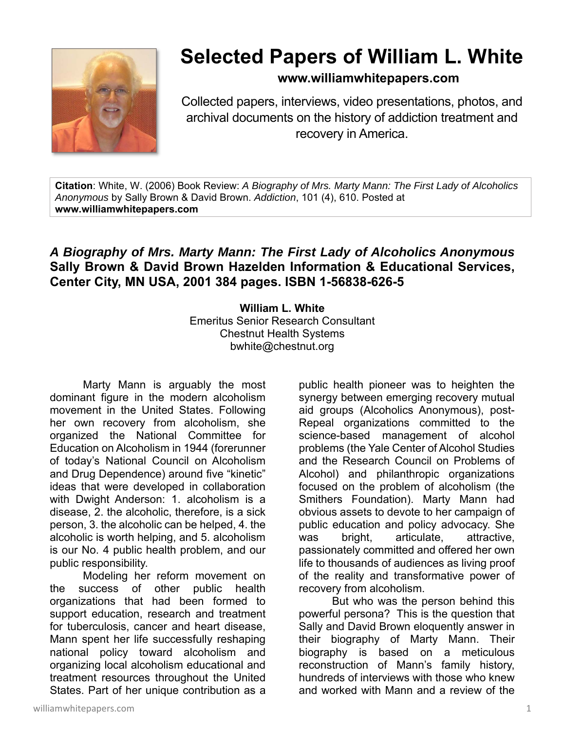

## **Selected Papers of William L. White**

## **www.williamwhitepapers.com**

Collected papers, interviews, video presentations, photos, and archival documents on the history of addiction treatment and recovery in America.

**Citation**: White, W. (2006) Book Review: *A Biography of Mrs. Marty Mann: The First Lady of Alcoholics Anonymous* by Sally Brown & David Brown. *Addiction*, 101 (4), 610. Posted at **www.williamwhitepapers.com** 

## *A Biography of Mrs. Marty Mann: The First Lady of Alcoholics Anonymous* **Sally Brown & David Brown Hazelden Information & Educational Services, Center City, MN USA, 2001 384 pages. ISBN 1-56838-626-5**

**William L. White**  Emeritus Senior Research Consultant Chestnut Health Systems bwhite@chestnut.org

Marty Mann is arguably the most dominant figure in the modern alcoholism movement in the United States. Following her own recovery from alcoholism, she organized the National Committee for Education on Alcoholism in 1944 (forerunner of today's National Council on Alcoholism and Drug Dependence) around five "kinetic" ideas that were developed in collaboration with Dwight Anderson: 1. alcoholism is a disease, 2. the alcoholic, therefore, is a sick person, 3. the alcoholic can be helped, 4. the alcoholic is worth helping, and 5. alcoholism is our No. 4 public health problem, and our public responsibility.

Modeling her reform movement on the success of other public health organizations that had been formed to support education, research and treatment for tuberculosis, cancer and heart disease, Mann spent her life successfully reshaping national policy toward alcoholism and organizing local alcoholism educational and treatment resources throughout the United States. Part of her unique contribution as a

public health pioneer was to heighten the synergy between emerging recovery mutual aid groups (Alcoholics Anonymous), post-Repeal organizations committed to the science-based management of alcohol problems (the Yale Center of Alcohol Studies and the Research Council on Problems of Alcohol) and philanthropic organizations focused on the problem of alcoholism (the Smithers Foundation). Marty Mann had obvious assets to devote to her campaign of public education and policy advocacy. She was bright, articulate, attractive, passionately committed and offered her own life to thousands of audiences as living proof of the reality and transformative power of recovery from alcoholism.

 But who was the person behind this powerful persona? This is the question that Sally and David Brown eloquently answer in their biography of Marty Mann. Their biography is based on a meticulous reconstruction of Mann's family history, hundreds of interviews with those who knew and worked with Mann and a review of the